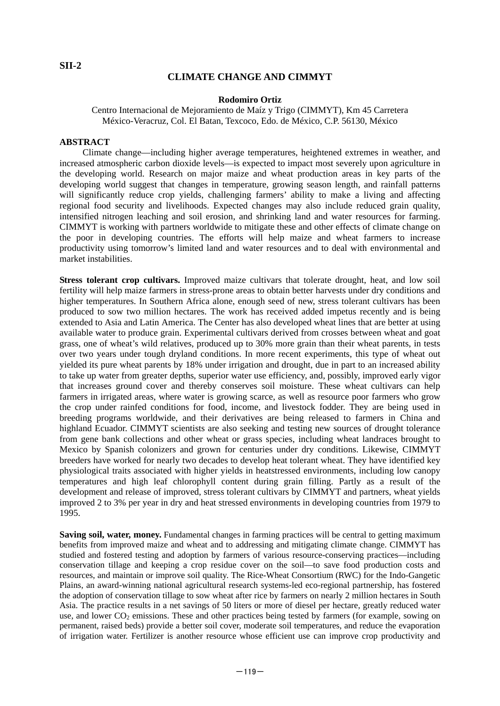### **CLIMATE CHANGE AND CIMMYT**

#### **Rodomiro Ortiz**

Centro Internacional de Mejoramiento de Maíz y Trigo (CIMMYT), Km 45 Carretera México-Veracruz, Col. El Batan, Texcoco, Edo. de México, C.P. 56130, México

#### **ABSTRACT**

Climate change—including higher average temperatures, heightened extremes in weather, and increased atmospheric carbon dioxide levels—is expected to impact most severely upon agriculture in the developing world. Research on major maize and wheat production areas in key parts of the developing world suggest that changes in temperature, growing season length, and rainfall patterns will significantly reduce crop yields, challenging farmers' ability to make a living and affecting regional food security and livelihoods. Expected changes may also include reduced grain quality, intensified nitrogen leaching and soil erosion, and shrinking land and water resources for farming. CIMMYT is working with partners worldwide to mitigate these and other effects of climate change on the poor in developing countries. The efforts will help maize and wheat farmers to increase productivity using tomorrow's limited land and water resources and to deal with environmental and market instabilities.

**Stress tolerant crop cultivars.** Improved maize cultivars that tolerate drought, heat, and low soil fertility will help maize farmers in stress-prone areas to obtain better harvests under dry conditions and higher temperatures. In Southern Africa alone, enough seed of new, stress tolerant cultivars has been produced to sow two million hectares. The work has received added impetus recently and is being extended to Asia and Latin America. The Center has also developed wheat lines that are better at using available water to produce grain. Experimental cultivars derived from crosses between wheat and goat grass, one of wheat's wild relatives, produced up to 30% more grain than their wheat parents, in tests over two years under tough dryland conditions. In more recent experiments, this type of wheat out yielded its pure wheat parents by 18% under irrigation and drought, due in part to an increased ability to take up water from greater depths, superior water use efficiency, and, possibly, improved early vigor that increases ground cover and thereby conserves soil moisture. These wheat cultivars can help farmers in irrigated areas, where water is growing scarce, as well as resource poor farmers who grow the crop under rainfed conditions for food, income, and livestock fodder. They are being used in breeding programs worldwide, and their derivatives are being released to farmers in China and highland Ecuador. CIMMYT scientists are also seeking and testing new sources of drought tolerance from gene bank collections and other wheat or grass species, including wheat landraces brought to Mexico by Spanish colonizers and grown for centuries under dry conditions. Likewise, CIMMYT breeders have worked for nearly two decades to develop heat tolerant wheat. They have identified key physiological traits associated with higher yields in heatstressed environments, including low canopy temperatures and high leaf chlorophyll content during grain filling. Partly as a result of the development and release of improved, stress tolerant cultivars by CIMMYT and partners, wheat yields improved 2 to 3% per year in dry and heat stressed environments in developing countries from 1979 to 1995.

**Saving soil, water, money.** Fundamental changes in farming practices will be central to getting maximum benefits from improved maize and wheat and to addressing and mitigating climate change. CIMMYT has studied and fostered testing and adoption by farmers of various resource-conserving practices—including conservation tillage and keeping a crop residue cover on the soil—to save food production costs and resources, and maintain or improve soil quality. The Rice-Wheat Consortium (RWC) for the Indo-Gangetic Plains, an award-winning national agricultural research systems-led eco-regional partnership, has fostered the adoption of conservation tillage to sow wheat after rice by farmers on nearly 2 million hectares in South Asia. The practice results in a net savings of 50 liters or more of diesel per hectare, greatly reduced water use, and lower  $CO<sub>2</sub>$  emissions. These and other practices being tested by farmers (for example, sowing on permanent, raised beds) provide a better soil cover, moderate soil temperatures, and reduce the evaporation of irrigation water. Fertilizer is another resource whose efficient use can improve crop productivity and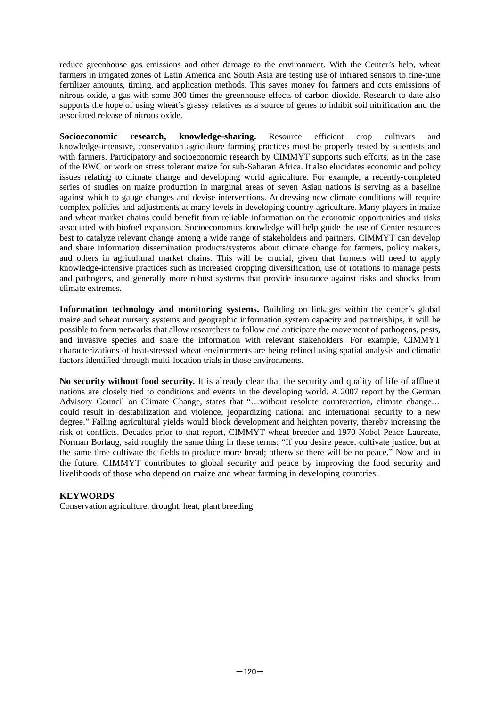reduce greenhouse gas emissions and other damage to the environment. With the Center's help, wheat farmers in irrigated zones of Latin America and South Asia are testing use of infrared sensors to fine-tune fertilizer amounts, timing, and application methods. This saves money for farmers and cuts emissions of nitrous oxide, a gas with some 300 times the greenhouse effects of carbon dioxide. Research to date also supports the hope of using wheat's grassy relatives as a source of genes to inhibit soil nitrification and the associated release of nitrous oxide.

**Socioeconomic research, knowledge-sharing.** Resource efficient crop cultivars and knowledge-intensive, conservation agriculture farming practices must be properly tested by scientists and with farmers. Participatory and socioeconomic research by CIMMYT supports such efforts, as in the case of the RWC or work on stress tolerant maize for sub-Saharan Africa. It also elucidates economic and policy issues relating to climate change and developing world agriculture. For example, a recently-completed series of studies on maize production in marginal areas of seven Asian nations is serving as a baseline against which to gauge changes and devise interventions. Addressing new climate conditions will require complex policies and adjustments at many levels in developing country agriculture. Many players in maize and wheat market chains could benefit from reliable information on the economic opportunities and risks associated with biofuel expansion. Socioeconomics knowledge will help guide the use of Center resources best to catalyze relevant change among a wide range of stakeholders and partners. CIMMYT can develop and share information dissemination products/systems about climate change for farmers, policy makers, and others in agricultural market chains. This will be crucial, given that farmers will need to apply knowledge-intensive practices such as increased cropping diversification, use of rotations to manage pests and pathogens, and generally more robust systems that provide insurance against risks and shocks from climate extremes.

**Information technology and monitoring systems.** Building on linkages within the center's global maize and wheat nursery systems and geographic information system capacity and partnerships, it will be possible to form networks that allow researchers to follow and anticipate the movement of pathogens, pests, and invasive species and share the information with relevant stakeholders. For example, CIMMYT characterizations of heat-stressed wheat environments are being refined using spatial analysis and climatic factors identified through multi-location trials in those environments.

**No security without food security.** It is already clear that the security and quality of life of affluent nations are closely tied to conditions and events in the developing world. A 2007 report by the German Advisory Council on Climate Change, states that "…without resolute counteraction, climate change… could result in destabilization and violence, jeopardizing national and international security to a new degree." Falling agricultural yields would block development and heighten poverty, thereby increasing the risk of conflicts. Decades prior to that report, CIMMYT wheat breeder and 1970 Nobel Peace Laureate, Norman Borlaug, said roughly the same thing in these terms: "If you desire peace, cultivate justice, but at the same time cultivate the fields to produce more bread; otherwise there will be no peace." Now and in the future, CIMMYT contributes to global security and peace by improving the food security and livelihoods of those who depend on maize and wheat farming in developing countries.

### **KEYWORDS**

Conservation agriculture, drought, heat, plant breeding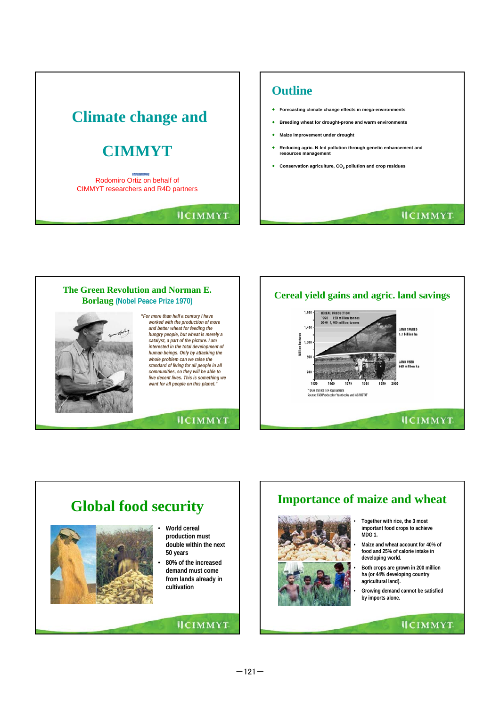

### **Outline**

- **Forecasting climate change effects in mega-environments**
- **Breeding wheat for drought-prone and warm environments**
- **Maize improvement under drought**
- **Reducing agric. N-led pollution through genetic enhancement and resources management**
- **Conservation agriculture, CO<sub>2</sub> pollution and crop residues**

### **IICIMMYT**





## **Importance of maize and wheat**



- **Together with rice, the 3 most important food crops to achieve MDG 1.**
- **Maize and wheat account for 40% of food and 25% of calorie intake in developing world.**
- **Both crops are grown in 200 million ha (or 44% developing country agricultural land).**
- **Growing demand cannot be satisfied by imports alone.**

### **IICIMMYT**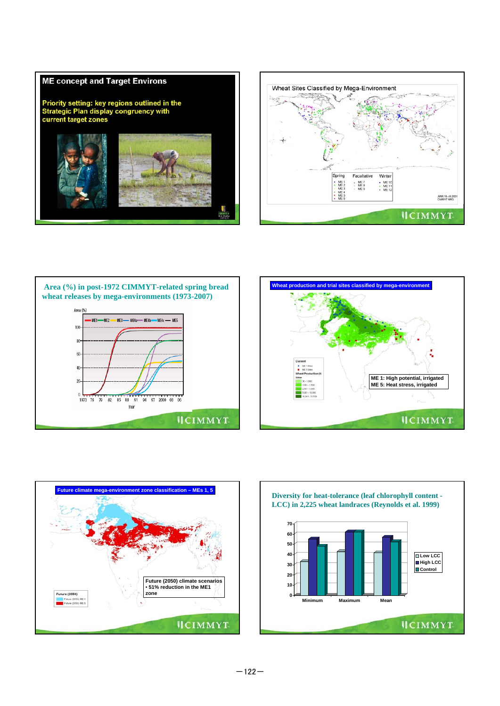









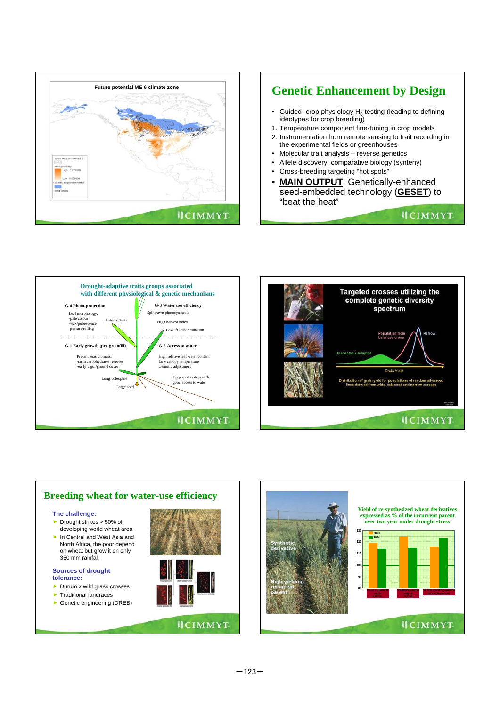







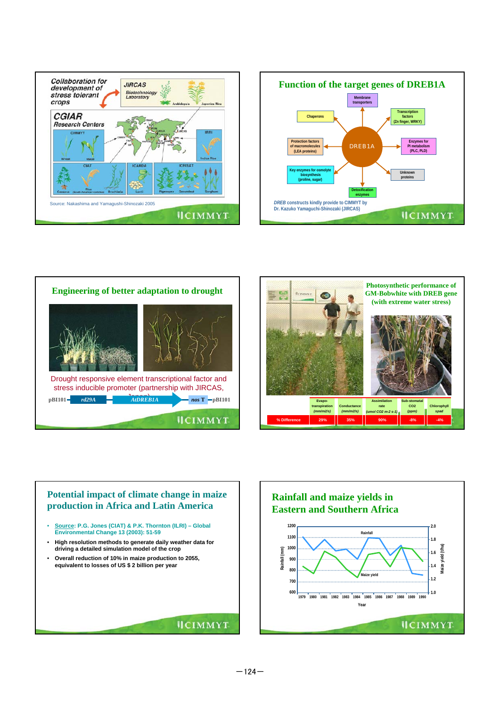









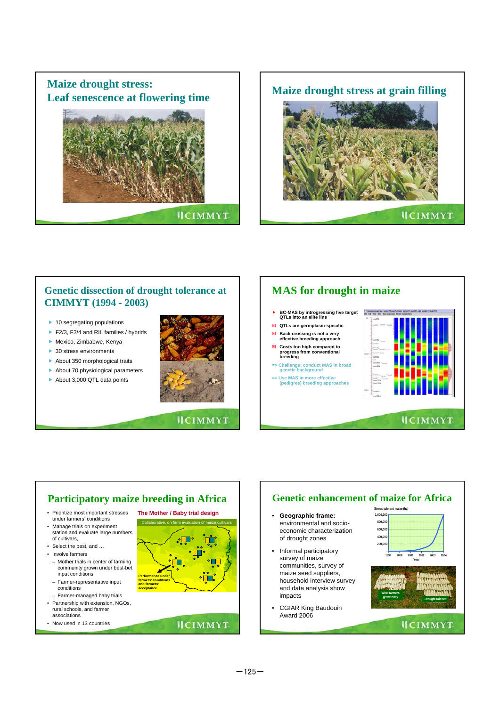



### **Genetic dissection of drought tolerance at CIMMYT (1994 - 2003)**

- $\blacktriangleright$  10 segregating populations
- F2/3, F3/4 and RIL families / hybrids
- $\blacktriangleright$  Mexico, Zimbabwe, Kenya
- $\blacktriangleright$  30 stress environments
- $\blacktriangleright$  About 350 morphological traits
- $\blacktriangleright$  About 70 physiological parameters
- $\blacktriangleright$  About 3,000 QTL data points







- **▶ BC-MAS by introgressing five target QTLs into an elite line**
- : **QTLs are germplasm-specific**
- : **Back-crossing is not a very effective breeding approach**
- : **Costs too high compared to progress from conventional breeding**
- **=> Challenge: conduct MAS in broad genetic background**
- **=> Use MAS in more effective (pedigree) breeding approaches**



# **Participatory maize breeding in Africa**

- Prioritize most important stresses under farmers' conditions
- Manage trials on experiment station and evaluate large numbers of cultivars,
- Select the best, and …
- Involve farmers
- Mother trials in center of farming community grown under best-bet input conditions
- Farmer-representative input conditions
- Farmer-managed baby trials • Partnership with extension, NGOs,
- rural schools, and farmer associations
- Now used in 13 countries



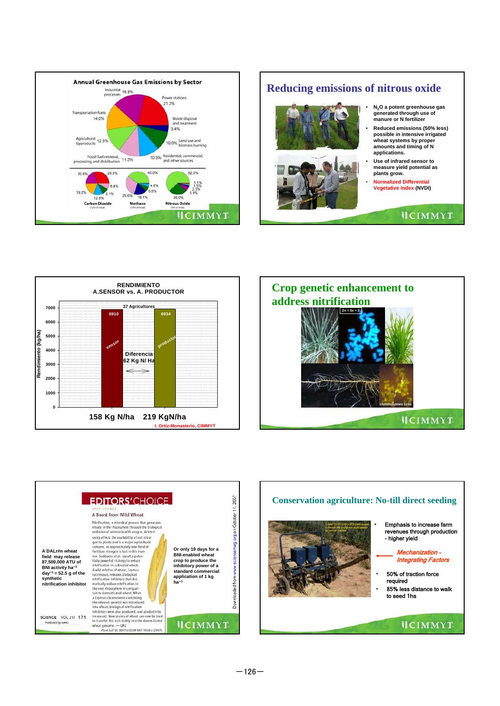

### **Reducing emissions of nitrous oxide**



- **N2O a potent greenhouse gas generated through use of manure or N fertilizer**
- **Reduced emissions (50% less) possible in intensive irrigated wheat systems by proper amounts and timing of N applications.**
- **Use of infrared sensor to measure yield potential as plants grow.**
- **Normalized Differential Vegetative Index (NVDI)**

**IICIMMYT** 

#### **RENDIMIENTO A.SENSOR vs. A. PRODUCTOR 37 Agricultores 7000 6910 6934 6000 Rendimiento (kg/ha)** (ka/ha **5000 productor sensor** Rendimiento **4000 Diferencia 62 Kg N/ Ha 3000 2000 1000 0 158 Kg N/ha 219 KgN/ha I. Ortiz-Monasterio, CIMMYT**